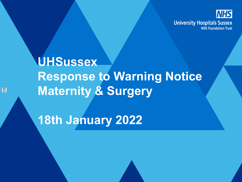

# **UHSussex Response to Warning Notice Maternity & Surgery**

**18th January 2022**

63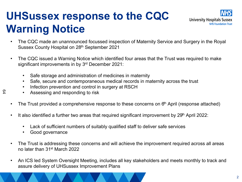## **UHSussex response to the CQC Warning Notice**



- The CQC made an unannounced focussed inspection of Maternity Service and Surgery in the Royal Sussex County Hospital on 28<sup>th</sup> September 2021
- The CQC issued a Warning Notice which identified four areas that the Trust was required to make significant improvements in by 3<sup>rd</sup> December 2021:
	- Safe storage and administration of medicines in maternity
	- Safe, secure and contemporaneous medical records in maternity across the trust
	- Infection prevention and control in surgery at RSCH
	- Assessing and responding to risk
- The Trust provided a comprehensive response to these concerns on  $6<sup>th</sup>$  April (response attached)
- It also identified a further two areas that required significant improvement by 29<sup>th</sup> April 2022:
	- Lack of sufficient numbers of suitably qualified staff to deliver safe services
	- Good governance

64

- The Trust is addressing these concerns and will achieve the improvement required across all areas no later than 31st March 2022
- An ICS led System Oversight Meeting, includes all key stakeholders and meets monthly to track and assure delivery of UHSussex Improvement Plans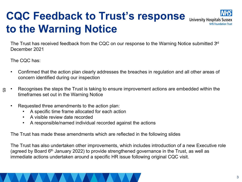### **CQC Feedback to Trust's response** University Hospitals Sussex **to the Warning Notice**



The Trust has received feedback from the CQC on our response to the Warning Notice submitted 3<sup>rd</sup> December 2021

The CQC has:

- Confirmed that the action plan clearly addresses the breaches in regulation and all other areas of concern identified during our inspection
- Recognises the steps the Trust is taking to ensure improvement actions are embedded within the timeframes set out in the Warning Notice 55
	- Requested three amendments to the action plan:
		- A specific time frame allocated for each action
		- A visible review date recorded
		- A responsible/named individual recorded against the actions

The Trust has made these amendments which are reflected in the following slides

The Trust has also undertaken other improvements, which includes introduction of a new Executive role (agreed by Board  $6<sup>th</sup>$  January 2022) to provide strengthened governance in the Trust, as well as immediate actions undertaken around a specific HR issue following original CQC visit.

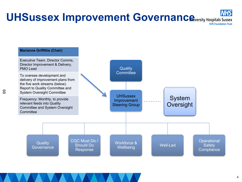#### **UHSussex Improvement Governance Constance Aversity Hospitals Sussex NHS Foundation Trust**

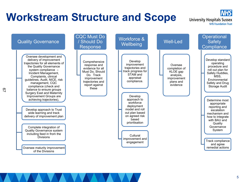### **Workstream Structure and Scope**

**University Hospitals Sussex NHS Foundation Trust**